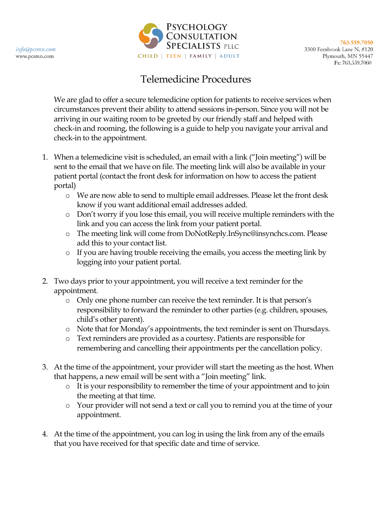

## Telemedicine Procedures

We are glad to offer a secure telemedicine option for patients to receive services when circumstances prevent their ability to attend sessions in-person. Since you will not be arriving in our waiting room to be greeted by our friendly staff and helped with check-in and rooming, the following is a guide to help you navigate your arrival and check-in to the appointment.

- 1. When a telemedicine visit is scheduled, an email with a link ("Join meeting") will be sent to the email that we have on file. The meeting link will also be available in your patient portal (contact the front desk for information on how to access the patient portal)
	- o We are now able to send to multiple email addresses. Please let the front desk know if you want additional email addresses added.
	- o Don't worry if you lose this email, you will receive multiple reminders with the link and you can access the link from your patient portal.
	- o The meeting link will come from DoNotReply.InSync@insynchcs.com. Please add this to your contact list.
	- o If you are having trouble receiving the emails, you access the meeting link by logging into your patient portal.
- 2. Two days prior to your appointment, you will receive a text reminder for the appointment.
	- o Only one phone number can receive the text reminder. It is that person's responsibility to forward the reminder to other parties (e.g. children, spouses, child's other parent).
	- o Note that for Monday's appointments, the text reminder is sent on Thursdays.
	- o Text reminders are provided as a courtesy. Patients are responsible for remembering and cancelling their appointments per the cancellation policy.
- 3. At the time of the appointment, your provider will start the meeting as the host. When that happens, a new email will be sent with a "Join meeting" link.
	- o It is your responsibility to remember the time of your appointment and to join the meeting at that time.
	- o Your provider will not send a text or call you to remind you at the time of your appointment.
- 4. At the time of the appointment, you can log in using the link from any of the emails that you have received for that specific date and time of service.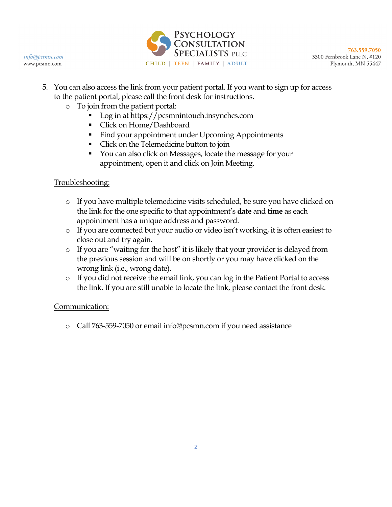



763.559.7050 3300 Fernbrook Lane N, #120 Plymouth, MN 55447

- 5. You can also access the link from your patient portal. If you want to sign up for access to the patient portal, please call the front desk for instructions.
	- o To join from the patient portal:
		- Log in at https://pcsmnintouch.insynchcs.com
		- Click on Home/Dashboard
		- Find your appointment under Upcoming Appointments
		- Click on the Telemedicine button to join
		- You can also click on Messages, locate the message for your appointment, open it and click on Join Meeting.

## Troubleshooting:

- o If you have multiple telemedicine visits scheduled, be sure you have clicked on the link for the one specific to that appointment's **date** and **time** as each appointment has a unique address and password.
- o If you are connected but your audio or video isn't working, it is often easiest to close out and try again.
- o If you are "waiting for the host" it is likely that your provider is delayed from the previous session and will be on shortly or you may have clicked on the wrong link (i.e., wrong date).
- o If you did not receive the email link, you can log in the Patient Portal to access the link. If you are still unable to locate the link, please contact the front desk.

## Communication:

o Call 763-559-7050 or email info@pcsmn.com if you need assistance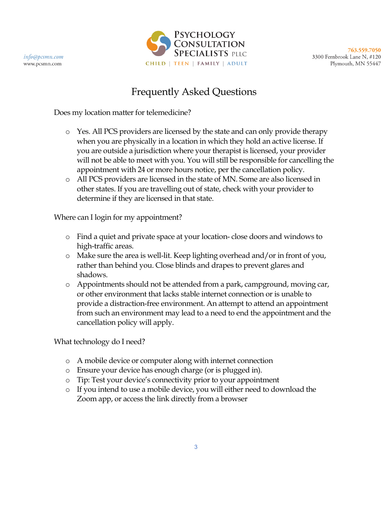

763,559,7050 3300 Fernbrook Lane N, #120 Plymouth, MN 55447

## Frequently Asked Questions

Does my location matter for telemedicine?

- o Yes. All PCS providers are licensed by the state and can only provide therapy when you are physically in a location in which they hold an active license. If you are outside a jurisdiction where your therapist is licensed, your provider will not be able to meet with you. You will still be responsible for cancelling the appointment with 24 or more hours notice, per the cancellation policy.
- o All PCS providers are licensed in the state of MN. Some are also licensed in other states. If you are travelling out of state, check with your provider to determine if they are licensed in that state.

Where can I login for my appointment?

- o Find a quiet and private space at your location- close doors and windows to high-traffic areas.
- o Make sure the area is well-lit. Keep lighting overhead and/or in front of you, rather than behind you. Close blinds and drapes to prevent glares and shadows.
- o Appointments should not be attended from a park, campground, moving car, or other environment that lacks stable internet connection or is unable to provide a distraction-free environment. An attempt to attend an appointment from such an environment may lead to a need to end the appointment and the cancellation policy will apply.

What technology do I need?

- o A mobile device or computer along with internet connection
- o Ensure your device has enough charge (or is plugged in).
- o Tip: Test your device's connectivity prior to your appointment
- o If you intend to use a mobile device, you will either need to download the Zoom app, or access the link directly from a browser